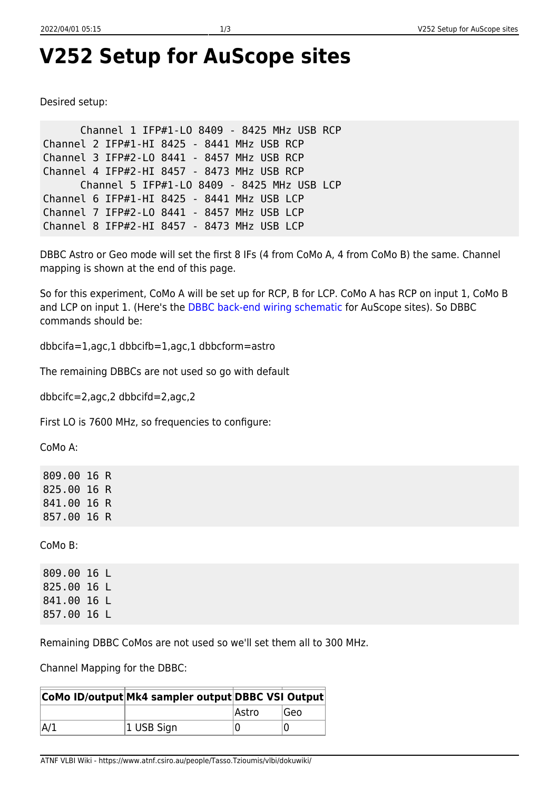## **V252 Setup for AuScope sites**

Desired setup:

 Channel 1 IFP#1-LO 8409 - 8425 MHz USB RCP Channel 2 IFP#1-HI 8425 - 8441 MHz USB RCP Channel 3 IFP#2-LO 8441 - 8457 MHz USB RCP Channel 4 IFP#2-HI 8457 - 8473 MHz USB RCP Channel 5 IFP#1-LO 8409 - 8425 MHz USB LCP Channel 6 IFP#1-HI 8425 - 8441 MHz USB LCP Channel 7 IFP#2-LO 8441 - 8457 MHz USB LCP Channel 8 IFP#2-HI 8457 - 8473 MHz USB LCP

DBBC Astro or Geo mode will set the first 8 IFs (4 from CoMo A, 4 from CoMo B) the same. Channel mapping is shown at the end of this page.

So for this experiment, CoMo A will be set up for RCP, B for LCP. CoMo A has RCP on input 1, CoMo B and LCP on input 1. (Here's the [DBBC back-end wiring schematic](http://www-ra.phys.utas.edu.au/auscope/opswiki/doku.php?id=hardware:hardware.dbbc.wiring) for AuScope sites). So DBBC commands should be:

dbbcifa=1,agc,1 dbbcifb=1,agc,1 dbbcform=astro

The remaining DBBCs are not used so go with default

dbbcifc=2,agc,2 dbbcifd=2,agc,2

First LO is 7600 MHz, so frequencies to configure:

CoMo A:

809.00 16 R 825.00 16 R 841.00 16 R 857.00 16 R

CoMo B:

809.00 16 L 825.00 16 L 841.00 16 L 857.00 16 L

Remaining DBBC CoMos are not used so we'll set them all to 300 MHz.

Channel Mapping for the DBBC:

|     | CoMo ID/output Mk4 sampler output DBBC VSI Output |       |      |
|-----|---------------------------------------------------|-------|------|
|     |                                                   | Astro | lGeo |
| A/1 | 1 USB Sign                                        |       |      |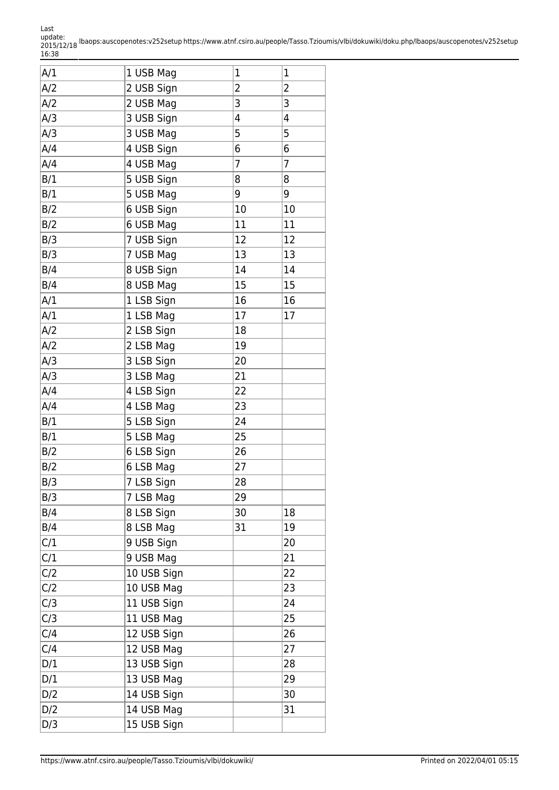update: 2015/12/18 16:38 lbaops:auscopenotes:v252setup https://www.atnf.csiro.au/people/Tasso.Tzioumis/vlbi/dokuwiki/doku.php/lbaops/auscopenotes/v252setup

| A/1 | 1 USB Mag   | $\mathbf 1$    | $\mathbf 1$    |
|-----|-------------|----------------|----------------|
| A/2 | 2 USB Sign  | 2              | $\overline{2}$ |
| A/2 | 2 USB Mag   | 3              | 3              |
| A/3 | 3 USB Sign  | 4              | 4              |
| A/3 | 3 USB Mag   | 5              | 5              |
| A/4 | 4 USB Sign  | 6              | 6              |
| A/4 | 4 USB Mag   | $\overline{7}$ | $\overline{7}$ |
| B/1 | 5 USB Sign  | 8              | 8              |
| B/1 | 5 USB Mag   | 9              | 9              |
| B/2 | 6 USB Sign  | 10             | 10             |
| B/2 | 6 USB Mag   | 11             | 11             |
| B/3 | 7 USB Sign  | 12             | 12             |
| B/3 | 7 USB Mag   | 13             | 13             |
| B/4 | 8 USB Sign  | 14             | 14             |
| B/4 | 8 USB Mag   | 15             | 15             |
| A/1 | 1 LSB Sign  | 16             | 16             |
| A/1 | 1 LSB Mag   | 17             | 17             |
| A/2 | 2 LSB Sign  | 18             |                |
| A/2 | 2 LSB Mag   | 19             |                |
| A/3 | 3 LSB Sign  | 20             |                |
| A/3 | 3 LSB Mag   | 21             |                |
| A/4 | 4 LSB Sign  | 22             |                |
| A/4 | 4 LSB Mag   | 23             |                |
| B/1 | 5 LSB Sign  | 24             |                |
| B/1 | 5 LSB Mag   | 25             |                |
| B/2 | 6 LSB Sign  | 26             |                |
| B/2 | 6 LSB Mag   | 27             |                |
| B/3 | 7 LSB Sign  | 28             |                |
| B/3 | 7 LSB Mag   | 29             |                |
| B/4 | 8 LSB Sign  | 30             | 18             |
| B/4 | 8 LSB Mag   | 31             | 19             |
| C/1 | 9 USB Sign  |                | 20             |
| C/1 | 9 USB Mag   |                | 21             |
| C/2 | 10 USB Sign |                | 22             |
| C/2 | 10 USB Mag  |                | 23             |
| C/3 | 11 USB Sign |                | 24             |
| C/3 | 11 USB Mag  |                | 25             |
| C/4 | 12 USB Sign |                | 26             |
| C/4 | 12 USB Mag  |                | 27             |
| D/1 | 13 USB Sign |                | 28             |
| D/1 | 13 USB Mag  |                | 29             |
| D/2 | 14 USB Sign |                | 30             |
| D/2 | 14 USB Mag  |                | 31             |
| D/3 | 15 USB Sign |                |                |

Last